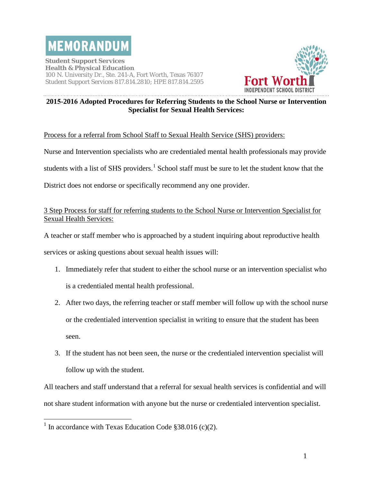

**Student Support Services Health & Physical Education** 100 N. University Dr., Ste. 241-A, Fort Worth, Texas 76107 Student Support Services 817.814.2810; HPE 817.814.2595



#### **2015-2016 Adopted Procedures for Referring Students to the School Nurse or Intervention Specialist for Sexual Health Services:**

#### Process for a referral from School Staff to Sexual Health Service (SHS) providers:

Nurse and Intervention specialists who are credentialed mental health professionals may provide

students with a list of SHS providers.<sup>[1](#page-0-0)</sup> School staff must be sure to let the student know that the

District does not endorse or specifically recommend any one provider.

### 3 Step Process for staff for referring students to the School Nurse or Intervention Specialist for Sexual Health Services:

A teacher or staff member who is approached by a student inquiring about reproductive health

services or asking questions about sexual health issues will:

- 1. Immediately refer that student to either the school nurse or an intervention specialist who is a credentialed mental health professional.
- 2. After two days, the referring teacher or staff member will follow up with the school nurse or the credentialed intervention specialist in writing to ensure that the student has been seen.
- 3. If the student has not been seen, the nurse or the credentialed intervention specialist will follow up with the student.

All teachers and staff understand that a referral for sexual health services is confidential and will not share student information with anyone but the nurse or credentialed intervention specialist.

<span id="page-0-0"></span><sup>&</sup>lt;sup>1</sup> In accordance with Texas Education Code §38.016 (c)(2).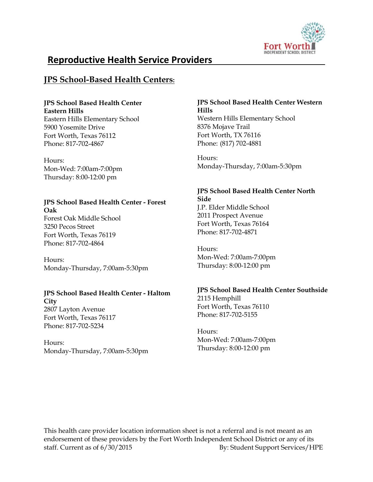

# **Reproductive Health Service Providers**

# **JPS School-Based Health Centers:**

#### **JPS School Based Health Center Eastern Hills**

Eastern Hills Elementary School 5900 Yosemite Drive Fort Worth, Texas 76112 Phone: 817-702-4867

Hours: Mon-Wed: 7:00am-7:00pm Thursday: 8:00-12:00 pm

#### **JPS School Based Health Center - Forest Oak** Forest Oak Middle School

3250 Pecos Street Fort Worth, Texas 76119 Phone: 817-702-4864

Hours: Monday-Thursday, 7:00am-5:30pm

## **JPS School Based Health Center - Haltom**

**City** 2807 Layton Avenue Fort Worth, Texas 76117 Phone: 817-702-5234

Hours: Monday-Thursday, 7:00am-5:30pm

#### **JPS School Based Health Center Western Hills** Western Hills Elementary School 8376 Mojave Trail Fort Worth, TX 76116 Phone: (817) 702-4881

Hours: Monday-Thursday, 7:00am-5:30pm

#### **JPS School Based Health Center North Side**

J.P. Elder Middle School 2011 Prospect Avenue Fort Worth, Texas 76164 Phone: 817-702-4871

Hours: Mon-Wed: 7:00am-7:00pm Thursday: 8:00-12:00 pm

## **JPS School Based Health Center Southside**

2115 Hemphill Fort Worth, Texas 76110 Phone: 817-702-5155

Hours: Mon-Wed: 7:00am-7:00pm Thursday: 8:00-12:00 pm

This health care provider location information sheet is not a referral and is not meant as an endorsement of these providers by the Fort Worth Independent School District or any of its staff. Current as of  $6/30/2015$  By: Student Support Services/HPE